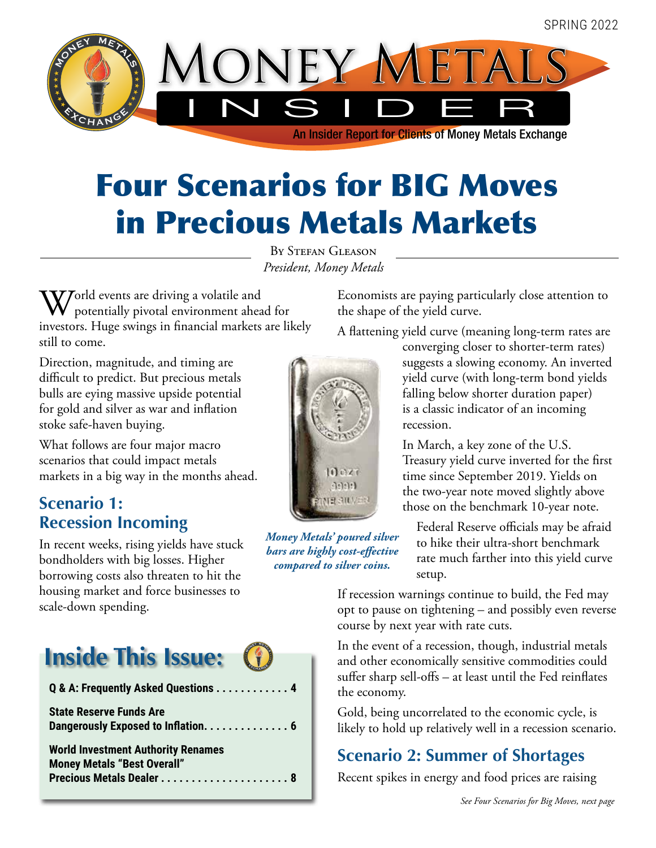

# Four Scenarios for BIG Moves in Precious Metals Markets

By Stefan Gleason *President, Money Metals*

World events are driving a volatile and<br>potentially pivotal environment ahead for<br>incores a Huse prime in form ill methods and il investors. Huge swings in financial markets are likely still to come.

Direction, magnitude, and timing are difficult to predict. But precious metals bulls are eying massive upside potential for gold and silver as war and inflation stoke safe-haven buying.

What follows are four major macro scenarios that could impact metals markets in a big way in the months ahead.

### **Scenario 1: Recession Incoming**

In recent weeks, rising yields have stuck bondholders with big losses. Higher borrowing costs also threaten to hit the housing market and force businesses to scale-down spending.



| Q & A: Frequently Asked Questions 4                                             |
|---------------------------------------------------------------------------------|
| <b>State Reserve Funds Are</b><br>Dangerously Exposed to Inflation. 6           |
| <b>World Investment Authority Renames</b><br><b>Money Metals "Best Overall"</b> |



*Money Metals' poured silver bars are highly cost-effective compared to silver coins.*

**ONEY METALS C**  Economists are paying particularly close attention to the shape of the yield curve.

A flattening yield curve (meaning long-term rates are

converging closer to shorter-term rates) suggests a slowing economy. An inverted yield curve (with long-term bond yields falling below shorter duration paper) is a classic indicator of an incoming recession.

In March, a key zone of the U.S. Treasury yield curve inverted for the first time since September 2019. Yields on the two-year note moved slightly above those on the benchmark 10-year note.

Federal Reserve officials may be afraid to hike their ultra-short benchmark rate much farther into this yield curve setup.

If recession warnings continue to build, the Fed may opt to pause on tightening – and possibly even reverse course by next year with rate cuts.

In the event of a recession, though, industrial metals and other economically sensitive commodities could suffer sharp sell-offs – at least until the Fed reinflates the economy.

Gold, being uncorrelated to the economic cycle, is likely to hold up relatively well in a recession scenario.

#### **Scenario 2: Summer of Shortages**

Recent spikes in energy and food prices are raising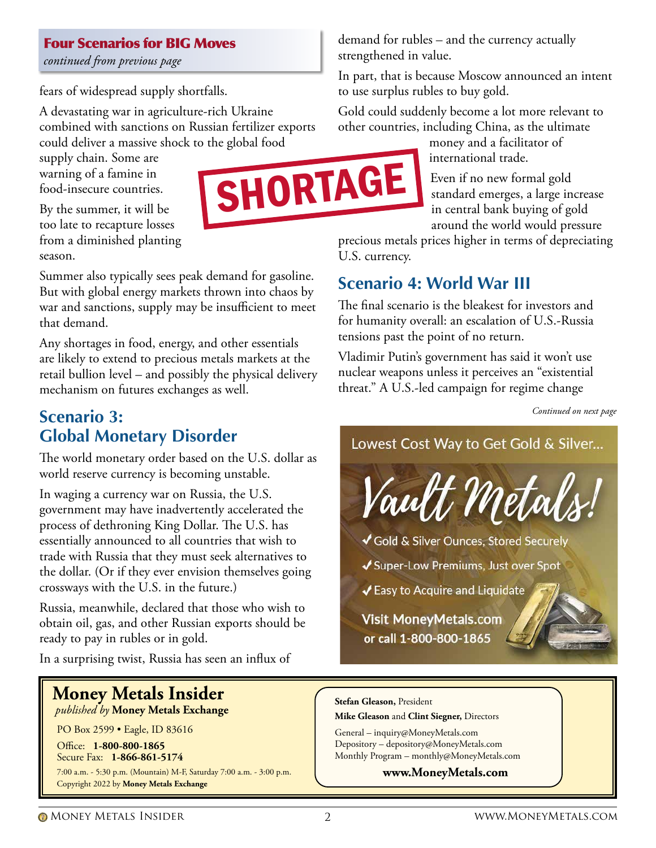#### Four Scenarios for BIG Moves

*continued from previous page*

fears of widespread supply shortfalls.

A devastating war in agriculture-rich Ukraine combined with sanctions on Russian fertilizer exports could deliver a massive shock to the global food

supply chain. Some are warning of a famine in food-insecure countries.



By the summer, it will be too late to recapture losses from a diminished planting season.

Summer also typically sees peak demand for gasoline. But with global energy markets thrown into chaos by war and sanctions, supply may be insufficient to meet that demand.

Any shortages in food, energy, and other essentials are likely to extend to precious metals markets at the retail bullion level – and possibly the physical delivery mechanism on futures exchanges as well.

#### **Scenario 3: Global Monetary Disorder**

The world monetary order based on the U.S. dollar as world reserve currency is becoming unstable.

In waging a currency war on Russia, the U.S. government may have inadvertently accelerated the process of dethroning King Dollar. The U.S. has essentially announced to all countries that wish to trade with Russia that they must seek alternatives to the dollar. (Or if they ever envision themselves going crossways with the U.S. in the future.)

Russia, meanwhile, declared that those who wish to obtain oil, gas, and other Russian exports should be ready to pay in rubles or in gold.

In a surprising twist, Russia has seen an influx of

### **Money Metals Insider**

 *published by* **Money Metals Exchange**

PO Box 2599 • Eagle, ID 83616

Office: **1-800-800-1865** Secure Fax: **1-866-861-5174**  7:00 a.m. - 5:30 p.m. (Mountain) M-F, Saturday 7:00 a.m. - 3:00 p.m. Copyright 2022 by **Money Metals Exchange**

demand for rubles – and the currency actually strengthened in value.

In part, that is because Moscow announced an intent to use surplus rubles to buy gold.

Gold could suddenly become a lot more relevant to other countries, including China, as the ultimate

money and a facilitator of international trade.

Even if no new formal gold standard emerges, a large increase in central bank buying of gold around the world would pressure

precious metals prices higher in terms of depreciating U.S. currency.

### **Scenario 4: World War III**

The final scenario is the bleakest for investors and for humanity overall: an escalation of U.S.-Russia tensions past the point of no return.

Vladimir Putin's government has said it won't use nuclear weapons unless it perceives an "existential threat." A U.S.-led campaign for regime change

*Continued on next page*

Lowest Cost Way to Get Gold & Silver...



- Gold & Silver Ounces, Stored Securely
- ◆ Super-Low Premiums, Just over Spot

✔ Easy to Acquire and Liquidate

**Visit MoneyMetals.com** or call 1-800-800-1865

#### **Stefan Gleason,** President

**Mike Gleason** and **Clint Siegner,** Directors

General – inquiry@MoneyMetals.com Depository – depository@MoneyMetals.com Monthly Program – monthly@MoneyMetals.com

**www.MoneyMetals.com**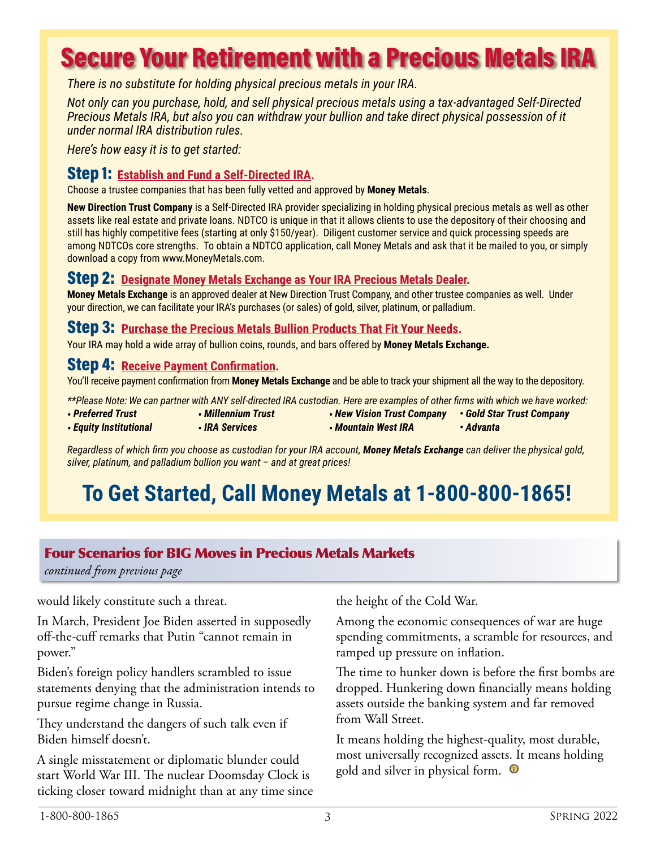# Secure Your Retirement with a Precious Metals IRA

*There is no substitute for holding physical precious metals in your IRA.* 

*Not only can you purchase, hold, and sell physical precious metals using a tax-advantaged Self-Directed Precious Metals IRA, but also you can withdraw your bullion and take direct physical possession of it under normal IRA distribution rules.* 

*Here's how easy it is to get started:*

#### Step 1: **Establish and Fund a Self-Directed IRA.**

Choose a trustee companies that has been fully vetted and approved by **Money Metals**.

**New Direction Trust Company** is a Self-Directed IRA provider specializing in holding physical precious metals as well as other assets like real estate and private loans. NDTCO is unique in that it allows clients to use the depository of their choosing and still has highly competitive fees (starting at only \$150/year). Diligent customer service and quick processing speeds are among NDTCOs core strengths. To obtain a NDTCO application, call Money Metals and ask that it be mailed to you, or simply download a copy from www.MoneyMetals.com.

#### Step 2: **Designate Money Metals Exchange as Your IRA Precious Metals Dealer.**

**Money Metals Exchange** is an approved dealer at New Direction Trust Company, and other trustee companies as well. Under your direction, we can facilitate your IRA's purchases (or sales) of gold, silver, platinum, or palladium.

#### Step 3: **Purchase the Precious Metals Bullion Products That Fit Your Needs.**

Your IRA may hold a wide array of bullion coins, rounds, and bars offered by **Money Metals Exchange.**

#### Step 4: **Receive Payment Confirmation.**

You'll receive payment confirmation from **Money Metals Exchange** and be able to track your shipment all the way to the depository.

*\*\*Please Note: We can partner with ANY self-directed IRA custodian. Here are examples of other firms with which we have worked:*

- *Preferred Trust • Millennium Trust • New Vision Trust Company • Gold Star Trust Company*
- *Equity Institutional • IRA Services*

*Regardless of which firm you choose as custodian for your IRA account, Money Metals Exchange can deliver the physical gold, silver, platinum, and palladium bullion you want – and at great prices!*

*• Mountain West IRA*

### **To Get Started, Call Money Metals at 1-800-800-1865!**

#### Four Scenarios for BIG Moves in Precious Metals Markets

*continued from previous page*

would likely constitute such a threat.

In March, President Joe Biden asserted in supposedly off-the-cuff remarks that Putin "cannot remain in power."

Biden's foreign policy handlers scrambled to issue statements denying that the administration intends to pursue regime change in Russia.

They understand the dangers of such talk even if Biden himself doesn't.

A single misstatement or diplomatic blunder could start World War III. The nuclear Doomsday Clock is ticking closer toward midnight than at any time since the height of the Cold War.

Among the economic consequences of war are huge spending commitments, a scramble for resources, and ramped up pressure on inflation.

*• Advanta*

The time to hunker down is before the first bombs are dropped. Hunkering down financially means holding assets outside the banking system and far removed from Wall Street.

It means holding the highest-quality, most durable, most universally recognized assets. It means holding gold and silver in physical form.  $\bullet$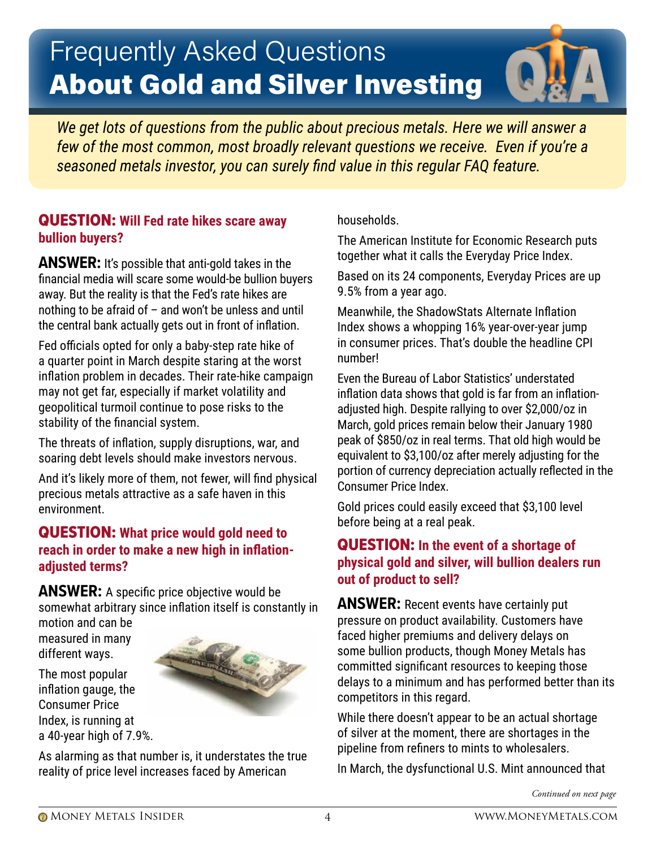# Frequently Asked Questions About Gold and Silver Investing



*We get lots of questions from the public about precious metals. Here we will answer a few of the most common, most broadly relevant questions we receive. Even if you're a seasoned metals investor, you can surely find value in this regular FAQ feature.*

#### QUESTION: **Will Fed rate hikes scare away bullion buyers?**

**ANSWER:** It's possible that anti-gold takes in the financial media will scare some would-be bullion buyers away. But the reality is that the Fed's rate hikes are nothing to be afraid of  $-$  and won't be unless and until the central bank actually gets out in front of inflation.

Fed officials opted for only a baby-step rate hike of a quarter point in March despite staring at the worst inflation problem in decades. Their rate-hike campaign may not get far, especially if market volatility and geopolitical turmoil continue to pose risks to the stability of the financial system.

The threats of inflation, supply disruptions, war, and soaring debt levels should make investors nervous.

And it's likely more of them, not fewer, will find physical precious metals attractive as a safe haven in this environment.

#### QUESTION: **What price would gold need to reach in order to make a new high in inflationadjusted terms?**

**ANSWER:** A specific price objective would be somewhat arbitrary since inflation itself is constantly in motion and can be

measured in many different ways.

The most popular inflation gauge, the Consumer Price Index, is running at a 40-year high of 7.9%.



As alarming as that number is, it understates the true reality of price level increases faced by American

households.

The American Institute for Economic Research puts together what it calls the Everyday Price Index.

Based on its 24 components, Everyday Prices are up 9.5% from a year ago.

Meanwhile, the ShadowStats Alternate Inflation Index shows a whopping 16% year-over-year jump in consumer prices. That's double the headline CPI number!

Even the Bureau of Labor Statistics' understated inflation data shows that gold is far from an inflationadjusted high. Despite rallying to over \$2,000/oz in March, gold prices remain below their January 1980 peak of \$850/oz in real terms. That old high would be equivalent to \$3,100/oz after merely adjusting for the portion of currency depreciation actually reflected in the Consumer Price Index.

Gold prices could easily exceed that \$3,100 level before being at a real peak.

#### QUESTION: **In the event of a shortage of physical gold and silver, will bullion dealers run out of product to sell?**

**ANSWER:** Recent events have certainly put pressure on product availability. Customers have faced higher premiums and delivery delays on some bullion products, though Money Metals has committed significant resources to keeping those delays to a minimum and has performed better than its competitors in this regard.

While there doesn't appear to be an actual shortage of silver at the moment, there are shortages in the pipeline from refiners to mints to wholesalers.

In March, the dysfunctional U.S. Mint announced that

*Continued on next page*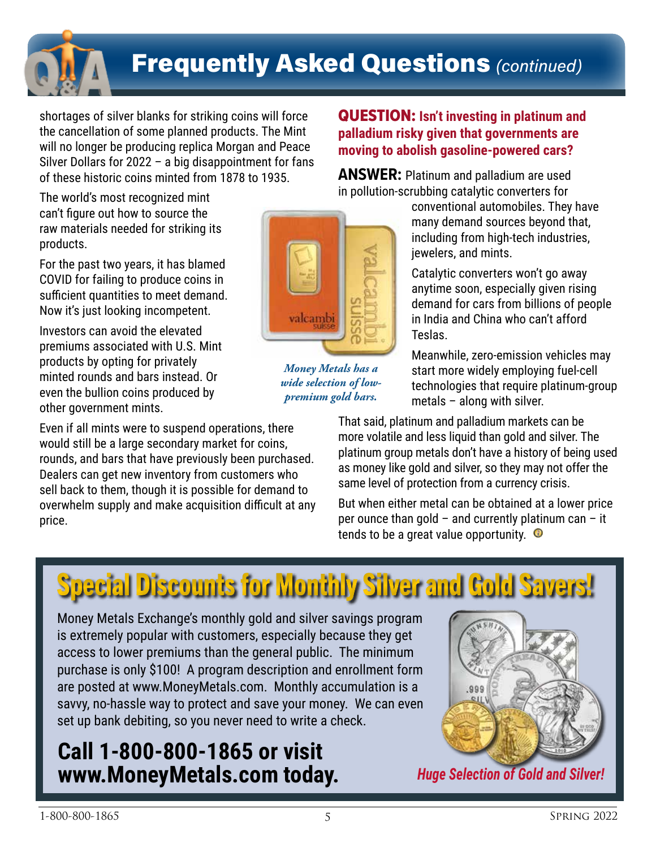

# Frequently Asked Questions *(continued)*

shortages of silver blanks for striking coins will force the cancellation of some planned products. The Mint will no longer be producing replica Morgan and Peace Silver Dollars for 2022 – a big disappointment for fans of these historic coins minted from 1878 to 1935.

The world's most recognized mint can't figure out how to source the raw materials needed for striking its products.

For the past two years, it has blamed COVID for failing to produce coins in sufficient quantities to meet demand. Now it's just looking incompetent.

Investors can avoid the elevated premiums associated with U.S. Mint products by opting for privately minted rounds and bars instead. Or even the bullion coins produced by other government mints.

Even if all mints were to suspend operations, there would still be a large secondary market for coins, rounds, and bars that have previously been purchased. Dealers can get new inventory from customers who sell back to them, though it is possible for demand to overwhelm supply and make acquisition difficult at any price.



*Money Metals has a wide selection of lowpremium gold bars.*

#### QUESTION: **Isn't investing in platinum and palladium risky given that governments are moving to abolish gasoline-powered cars?**

**ANSWER:** Platinum and palladium are used in pollution-scrubbing catalytic converters for

conventional automobiles. They have many demand sources beyond that, including from high-tech industries, jewelers, and mints.

Catalytic converters won't go away anytime soon, especially given rising demand for cars from billions of people in India and China who can't afford Teslas.

Meanwhile, zero-emission vehicles may start more widely employing fuel-cell technologies that require platinum-group metals – along with silver.

That said, platinum and palladium markets can be more volatile and less liquid than gold and silver. The platinum group metals don't have a history of being used as money like gold and silver, so they may not offer the same level of protection from a currency crisis.

But when either metal can be obtained at a lower price per ounce than gold – and currently platinum can – it tends to be a great value opportunity.  $\bullet$ 

# Special Discounts for Monthly Silver and Gold Savers!

Money Metals Exchange's monthly gold and silver savings program is extremely popular with customers, especially because they get access to lower premiums than the general public. The minimum purchase is only \$100! A program description and enrollment form are posted at www.MoneyMetals.com. Monthly accumulation is a savvy, no-hassle way to protect and save your money. We can even set up bank debiting, so you never need to write a check.

### **Call 1-800-800-1865 or visit www.MoneyMetals.com today.**



*Huge Selection of Gold and Silver!*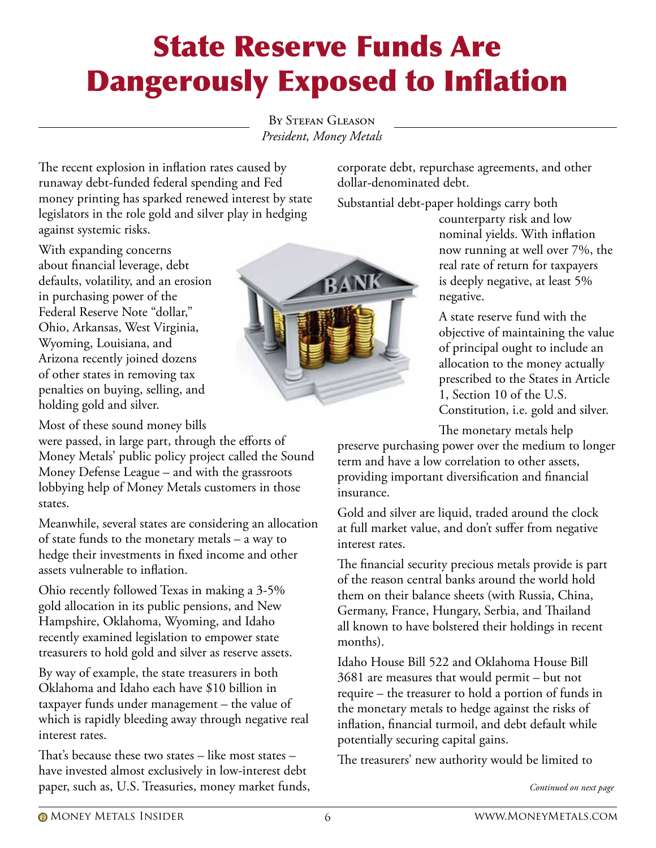# State Reserve Funds Are Dangerously Exposed to Inflation

BY STEFAN GLEASON *President, Money Metals*

The recent explosion in inflation rates caused by runaway debt-funded federal spending and Fed money printing has sparked renewed interest by state legislators in the role gold and silver play in hedging against systemic risks.

With expanding concerns about financial leverage, debt defaults, volatility, and an erosion in purchasing power of the Federal Reserve Note "dollar," Ohio, Arkansas, West Virginia, Wyoming, Louisiana, and Arizona recently joined dozens of other states in removing tax penalties on buying, selling, and holding gold and silver.

Most of these sound money bills

were passed, in large part, through the efforts of Money Metals' public policy project called the Sound Money Defense League – and with the grassroots lobbying help of Money Metals customers in those states.

Meanwhile, several states are considering an allocation of state funds to the monetary metals – a way to hedge their investments in fixed income and other assets vulnerable to inflation.

Ohio recently followed Texas in making a 3-5% gold allocation in its public pensions, and New Hampshire, Oklahoma, Wyoming, and Idaho recently examined legislation to empower state treasurers to hold gold and silver as reserve assets.

By way of example, the state treasurers in both Oklahoma and Idaho each have \$10 billion in taxpayer funds under management – the value of which is rapidly bleeding away through negative real interest rates.

That's because these two states – like most states – have invested almost exclusively in low-interest debt paper, such as, U.S. Treasuries, money market funds,



corporate debt, repurchase agreements, and other dollar-denominated debt.

Substantial debt-paper holdings carry both

counterparty risk and low nominal yields. With inflation now running at well over 7%, the real rate of return for taxpayers is deeply negative, at least 5% negative.

A state reserve fund with the objective of maintaining the value of principal ought to include an allocation to the money actually prescribed to the States in Article 1, Section 10 of the U.S. Constitution, i.e. gold and silver.

The monetary metals help

preserve purchasing power over the medium to longer term and have a low correlation to other assets, providing important diversification and financial insurance.

Gold and silver are liquid, traded around the clock at full market value, and don't suffer from negative interest rates.

The financial security precious metals provide is part of the reason central banks around the world hold them on their balance sheets (with Russia, China, Germany, France, Hungary, Serbia, and Thailand all known to have bolstered their holdings in recent months).

Idaho House Bill 522 and Oklahoma House Bill 3681 are measures that would permit – but not require – the treasurer to hold a portion of funds in the monetary metals to hedge against the risks of inflation, financial turmoil, and debt default while potentially securing capital gains.

The treasurers' new authority would be limited to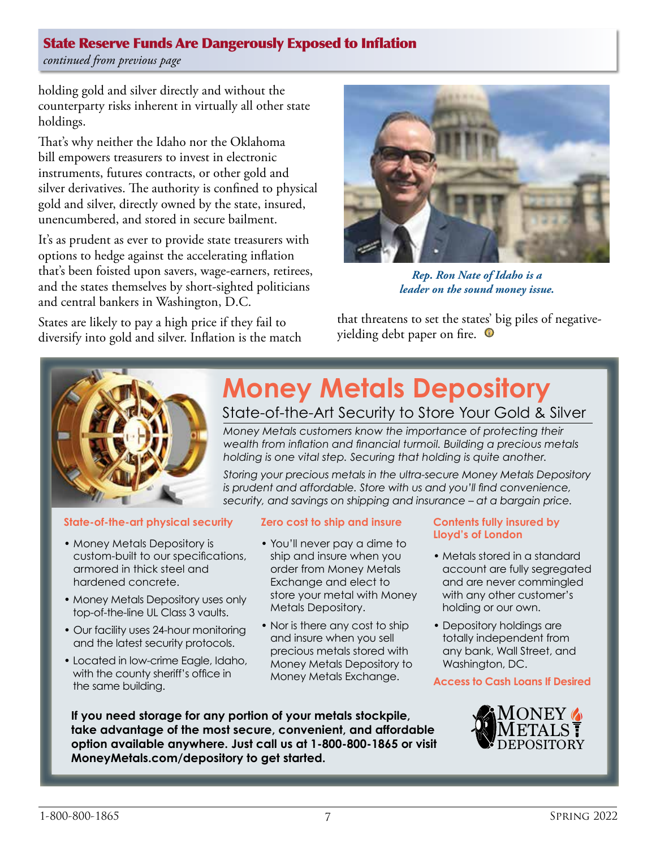*continued from previous page*

holding gold and silver directly and without the counterparty risks inherent in virtually all other state holdings.

That's why neither the Idaho nor the Oklahoma bill empowers treasurers to invest in electronic instruments, futures contracts, or other gold and silver derivatives. The authority is confined to physical gold and silver, directly owned by the state, insured, unencumbered, and stored in secure bailment.

It's as prudent as ever to provide state treasurers with options to hedge against the accelerating inflation that's been foisted upon savers, wage-earners, retirees, and the states themselves by short-sighted politicians and central bankers in Washington, D.C.

States are likely to pay a high price if they fail to diversify into gold and silver. Inflation is the match



*Rep. Ron Nate of Idaho is a leader on the sound money issue.*

that threatens to set the states' big piles of negativeyielding debt paper on fire.  $\,\mathbf{\Theta}\,$ 



#### **State-of-the-art physical security**

- Money Metals Depository is custom-built to our specifications, armored in thick steel and hardened concrete.
- Money Metals Depository uses only top-of-the-line UL Class 3 vaults.
- Our facility uses 24-hour monitoring and the latest security protocols.
- Located in low-crime Eagle, Idaho, with the county sheriff's office in the same building.

# **Money Metals Depository**

State-of-the-Art Security to Store Your Gold & Silver

*Money Metals customers know the importance of protecting their wealth from inflation and financial turmoil. Building a precious metals holding is one vital step. Securing that holding is quite another.*

*Storing your precious metals in the ultra-secure Money Metals Depository is prudent and affordable. Store with us and you'll find convenience, security, and savings on shipping and insurance – at a bargain price.*

#### **Zero cost to ship and insure**

- You'll never pay a dime to ship and insure when you order from Money Metals Exchange and elect to store your metal with Money Metals Depository.
- Nor is there any cost to ship and insure when you sell precious metals stored with Money Metals Depository to Money Metals Exchange.

#### **Contents fully insured by Lloyd's of London**

- Metals stored in a standard account are fully segregated and are never commingled with any other customer's holding or our own.
- Depository holdings are totally independent from any bank, Wall Street, and Washington, DC.

#### **Access to Cash Loans If Desired**



**If you need storage for any portion of your metals stockpile, take advantage of the most secure, convenient, and affordable option available anywhere. Just call us at 1-800-800-1865 or visit MoneyMetals.com/depository to get started.**